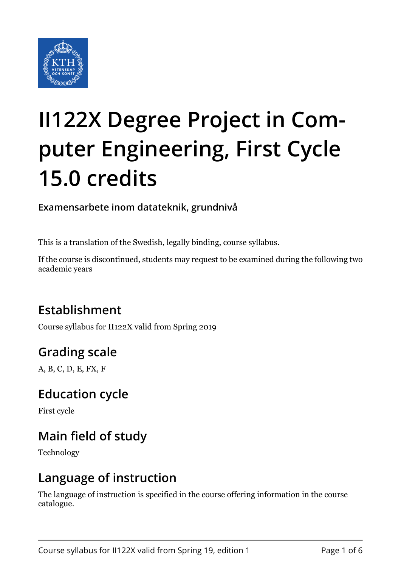

# **II122X Degree Project in Computer Engineering, First Cycle 15.0 credits**

### **Examensarbete inom datateknik, grundnivå**

This is a translation of the Swedish, legally binding, course syllabus.

If the course is discontinued, students may request to be examined during the following two academic years

# **Establishment**

Course syllabus for II122X valid from Spring 2019

# **Grading scale**

A, B, C, D, E, FX, F

### **Education cycle**

First cycle

# **Main field of study**

Technology

### **Language of instruction**

The language of instruction is specified in the course offering information in the course catalogue.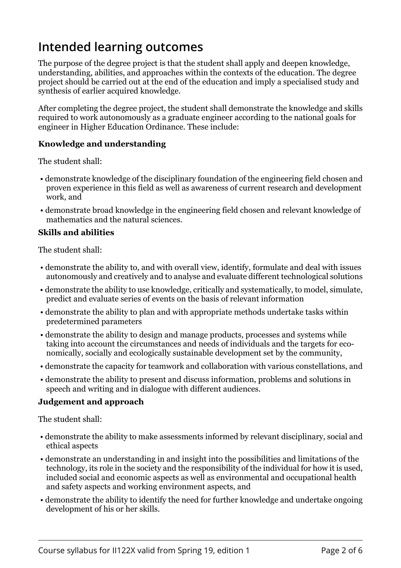# **Intended learning outcomes**

The purpose of the degree project is that the student shall apply and deepen knowledge, understanding, abilities, and approaches within the contexts of the education. The degree project should be carried out at the end of the education and imply a specialised study and synthesis of earlier acquired knowledge.

After completing the degree project, the student shall demonstrate the knowledge and skills required to work autonomously as a graduate engineer according to the national goals for engineer in Higher Education Ordinance. These include:

#### **Knowledge and understanding**

The student shall:

- demonstrate knowledge of the disciplinary foundation of the engineering field chosen and proven experience in this field as well as awareness of current research and development work, and
- demonstrate broad knowledge in the engineering field chosen and relevant knowledge of mathematics and the natural sciences.

#### **Skills and abilities**

The student shall:

- demonstrate the ability to, and with overall view, identify, formulate and deal with issues autonomously and creatively and to analyse and evaluate different technological solutions
- demonstrate the ability to use knowledge, critically and systematically, to model, simulate, predict and evaluate series of events on the basis of relevant information
- demonstrate the ability to plan and with appropriate methods undertake tasks within predetermined parameters
- demonstrate the ability to design and manage products, processes and systems while taking into account the circumstances and needs of individuals and the targets for economically, socially and ecologically sustainable development set by the community,
- demonstrate the capacity for teamwork and collaboration with various constellations, and
- demonstrate the ability to present and discuss information, problems and solutions in speech and writing and in dialogue with different audiences.

#### *b***d b**

The student shall:

- demonstrate the ability to make assessments informed by relevant disciplinary, social and ethical aspects
- demonstrate an understanding in and insight into the possibilities and limitations of the technology, its role in the society and the responsibility of the individual for how it is used, included social and economic aspects as well as environmental and occupational health and safety aspects and working environment aspects, and
- demonstrate the ability to identify the need for further knowledge and undertake ongoing development of his or her skills.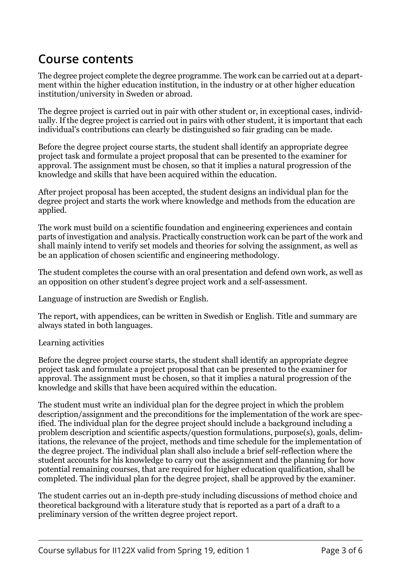### **Course contents**

The degree project complete the degree programme. The work can be carried out at a department within the higher education institution, in the industry or at other higher education institution/university in Sweden or abroad.

The degree project is carried out in pair with other student or, in exceptional cases, individually. If the degree project is carried out in pairs with other student, it is important that each individual's contributions can clearly be distinguished so fair grading can be made.

Before the degree project course starts, the student shall identify an appropriate degree project task and formulate a project proposal that can be presented to the examiner for approval. The assignment must be chosen, so that it implies a natural progression of the knowledge and skills that have been acquired within the education.

After project proposal has been accepted, the student designs an individual plan for the degree project and starts the work where knowledge and methods from the education are applied.

The work must build on a scientific foundation and engineering experiences and contain parts of investigation and analysis. Practically construction work can be part of the work and shall mainly intend to verify set models and theories for solving the assignment, as well as be an application of chosen scientific and engineering methodology.

The student completes the course with an oral presentation and defend own work, as well as an opposition on other student's degree project work and a self-assessment.

Language of instruction are Swedish or English.

The report, with appendices, can be written in Swedish or English. Title and summary are always stated in both languages.

#### Learning activities

Before the degree project course starts, the student shall identify an appropriate degree project task and formulate a project proposal that can be presented to the examiner for approval. The assignment must be chosen, so that it implies a natural progression of the knowledge and skills that have been acquired within the education.

The student must write an individual plan for the degree project in which the problem description/assignment and the preconditions for the implementation of the work are specified. The individual plan for the degree project should include a background including a problem description and scientific aspects/question formulations, purpose(s), goals, delimitations, the relevance of the project, methods and time schedule for the implementation of the degree project. The individual plan shall also include a brief self-reflection where the student accounts for his knowledge to carry out the assignment and the planning for how potential remaining courses, that are required for higher education qualification, shall be completed. The individual plan for the degree project, shall be approved by the examiner.

The student carries out an in-depth pre-study including discussions of method choice and theoretical background with a literature study that is reported as a part of a draft to a preliminary version of the written degree project report.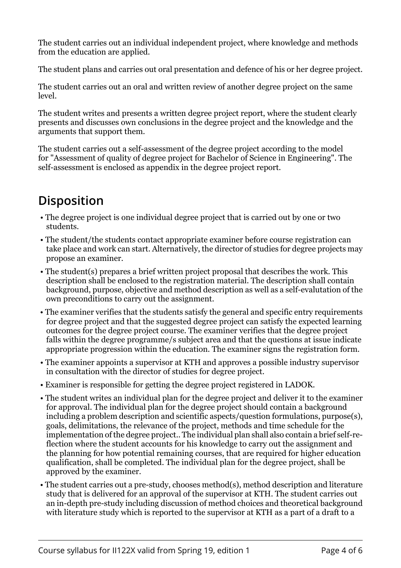The student carries out an individual independent project, where knowledge and methods from the education are applied.

The student plans and carries out oral presentation and defence of his or her degree project.

The student carries out an oral and written review of another degree project on the same level.

The student writes and presents a written degree project report, where the student clearly presents and discusses own conclusions in the degree project and the knowledge and the arguments that support them.

The student carries out a self-assessment of the degree project according to the model for "Assessment of quality of degree project for Bachelor of Science in Engineering". The self-assessment is enclosed as appendix in the degree project report.

# **Disposition**

- The degree project is one individual degree project that is carried out by one or two students.
- The student/the students contact appropriate examiner before course registration can take place and work can start. Alternatively, the director of studies for degree projects may propose an examiner.
- The student(s) prepares a brief written project proposal that describes the work. This description shall be enclosed to the registration material. The description shall contain background, purpose, objective and method description as well as a self-evalutation of the own preconditions to carry out the assignment.
- The examiner verifies that the students satisfy the general and specific entry requirements for degree project and that the suggested degree project can satisfy the expected learning outcomes for the degree project course. The examiner verifies that the degree project falls within the degree programme/s subject area and that the questions at issue indicate appropriate progression within the education. The examiner signs the registration form.
- The examiner appoints a supervisor at KTH and approves a possible industry supervisor in consultation with the director of studies for degree project.
- Examiner is responsible for getting the degree project registered in LADOK.
- The student writes an individual plan for the degree project and deliver it to the examiner for approval. The individual plan for the degree project should contain a background including a problem description and scientific aspects/question formulations, purpose(s), goals, delimitations, the relevance of the project, methods and time schedule for the implementation of the degree project.. The individual plan shall also contain a brief self-reflection where the student accounts for his knowledge to carry out the assignment and the planning for how potential remaining courses, that are required for higher education qualification, shall be completed. The individual plan for the degree project, shall be approved by the examiner.
- The student carries out a pre-study, chooses method(s), method description and literature study that is delivered for an approval of the supervisor at KTH. The student carries out an in-depth pre-study including discussion of method choices and theoretical background with literature study which is reported to the supervisor at KTH as a part of a draft to a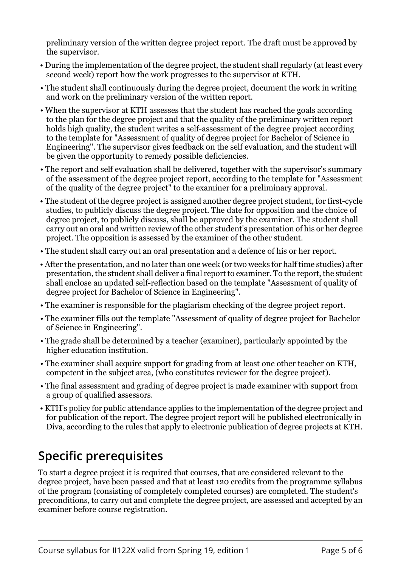preliminary version of the written degree project report. The draft must be approved by the supervisor.

- During the implementation of the degree project, the student shall regularly (at least every second week) report how the work progresses to the supervisor at KTH.
- The student shall continuously during the degree project, document the work in writing and work on the preliminary version of the written report.
- When the supervisor at KTH assesses that the student has reached the goals according to the plan for the degree project and that the quality of the preliminary written report holds high quality, the student writes a self-assessment of the degree project according to the template for "Assessment of quality of degree project for Bachelor of Science in Engineering". The supervisor gives feedback on the self evaluation, and the student will be given the opportunity to remedy possible deficiencies.
- The report and self evaluation shall be delivered, together with the supervisor's summary of the assessment of the degree project report, according to the template for "Assessment of the quality of the degree project" to the examiner for a preliminary approval.
- The student of the degree project is assigned another degree project student, for first-cycle studies, to publicly discuss the degree project. The date for opposition and the choice of degree project, to publicly discuss, shall be approved by the examiner. The student shall carry out an oral and written review of the other student's presentation of his or her degree project. The opposition is assessed by the examiner of the other student.
- The student shall carry out an oral presentation and a defence of his or her report.
- After the presentation, and no later than one week (or two weeks for half time studies) after presentation, the student shall deliver a final report to examiner. To the report, the student shall enclose an updated self-reflection based on the template "Assessment of quality of degree project for Bachelor of Science in Engineering".
- The examiner is responsible for the plagiarism checking of the degree project report.
- The examiner fills out the template "Assessment of quality of degree project for Bachelor of Science in Engineering".
- The grade shall be determined by a teacher (examiner), particularly appointed by the higher education institution.
- The examiner shall acquire support for grading from at least one other teacher on KTH, competent in the subject area, (who constitutes reviewer for the degree project).
- The final assessment and grading of degree project is made examiner with support from a group of qualified assessors.
- KTH's policy for public attendance applies to the implementation of the degree project and for publication of the report. The degree project report will be published electronically in Diva, according to the rules that apply to electronic publication of degree projects at KTH.

# **Specific prerequisites**

To start a degree project it is required that courses, that are considered relevant to the degree project, have been passed and that at least 120 credits from the programme syllabus of the program (consisting of completely completed courses) are completed. The student's preconditions, to carry out and complete the degree project, are assessed and accepted by an examiner before course registration.